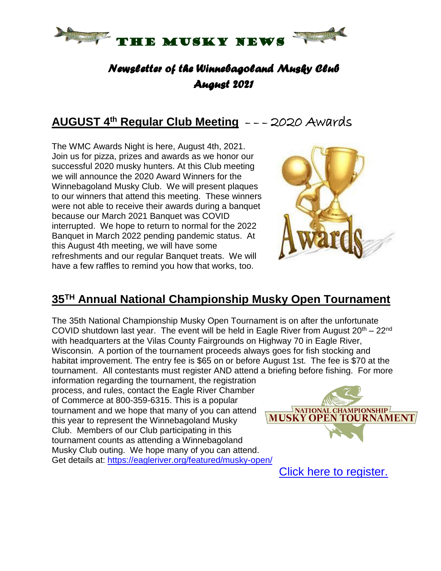

## *Newsletter of the Winnebagoland Musky Club August 2021*

# **AUGUST 4 th Regular Club Meeting** – – – 2020 Awards

The WMC Awards Night is here, August 4th, 2021. Join us for pizza, prizes and awards as we honor our successful 2020 musky hunters. At this Club meeting we will announce the 2020 Award Winners for the Winnebagoland Musky Club. We will present plaques to our winners that attend this meeting. These winners were not able to receive their awards during a banquet because our March 2021 Banquet was COVID interrupted. We hope to return to normal for the 2022 Banquet in March 2022 pending pandemic status. At this August 4th meeting, we will have some refreshments and our regular Banquet treats. We will have a few raffles to remind you how that works, too.



#### **35TH Annual National Championship Musky Open Tournament**

The 35th National Championship Musky Open Tournament is on after the unfortunate COVID shutdown last year. The event will be held in Eagle River from August  $20^{th} - 22^{nd}$ with headquarters at the Vilas County Fairgrounds on Highway 70 in Eagle River, Wisconsin. A portion of the tournament proceeds always goes for fish stocking and habitat improvement. The entry fee is \$65 on or before August 1st. The fee is \$70 at the tournament. All contestants must register AND attend a briefing before fishing. For more information regarding the tournament, the registration process, and rules, contact the Eagle River Chamber of Commerce at 800-359-6315. This is a popular NATIONAL CHAMPIONSHIP tournament and we hope that many of you can attend **MUSKY OPEN TOURNAMENT** this year to represent the Winnebagoland Musky Club. Members of our Club participating in this tournament counts as attending a Winnebagoland Musky Club outing. We hope many of you can attend. Get details at: <https://eagleriver.org/featured/musky-open/>

Click here to [register.](https://business.eagleriver.org/events/details/2021-musky-open-29)